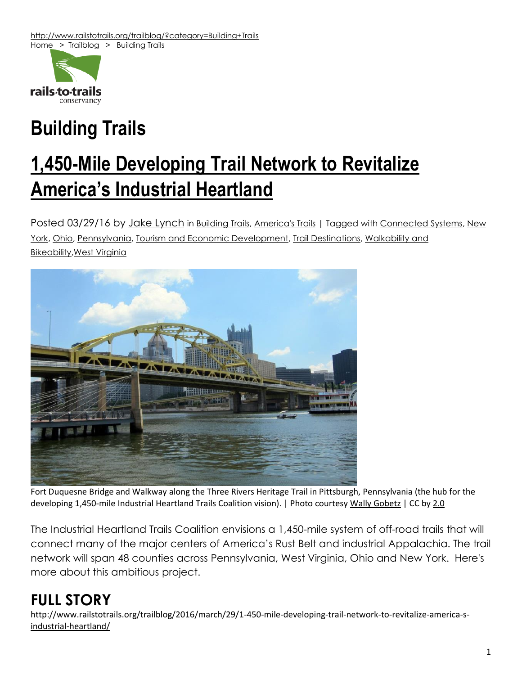

# **Building Trails**

## **1,450-Mile [Developing](http://www.railstotrails.org/trailblog/2016/march/29/1-450-mile-developing-trail-network-to-revitalize-america-s-industrial-heartland/?category=Building+Trails) Trail Network to Revitalize [America's](http://www.railstotrails.org/trailblog/2016/march/29/1-450-mile-developing-trail-network-to-revitalize-america-s-industrial-heartland/?category=Building+Trails) Industrial Heartland**

Posted 03/29/16 by Jake [Lynch](http://www.railstotrails.org/trailblog/?author=Jake+Lynch) in [Building](http://www.railstotrails.org/trailblog/?category=Building+Trails) Trails, [America's](http://www.railstotrails.org/trailblog/?category=America%27s+Trails) Trails | Tagged with [Connected](http://www.railstotrails.org/trailblog/?tag=Connected+Systems) Systems, [New](http://www.railstotrails.org/trailblog/?tag=New+York) [York,](http://www.railstotrails.org/trailblog/?tag=New+York) [Ohio,](http://www.railstotrails.org/trailblog/?tag=Ohio) [Pennsylvania,](http://www.railstotrails.org/trailblog/?tag=Pennsylvania) Tourism and Economic [Development,](http://www.railstotrails.org/trailblog/?tag=Tourism+and+Economic+Development) Trail [Destinations,](http://www.railstotrails.org/trailblog/?tag=Trail+Destinations) [Walkability](http://www.railstotrails.org/trailblog/?tag=Walkability+and+Bikeability) and [Bikeability,](http://www.railstotrails.org/trailblog/?tag=Walkability+and+Bikeability)West [Virginia](http://www.railstotrails.org/trailblog/?tag=West+Virginia)



Fort Duquesne Bridge and Walkway along the Three Rivers Heritage Trail in Pittsburgh, Pennsylvania (the hub for the developing 1,450-mile Industrial Heartland Trails Coalition vision). | Photo courtesy Wally [Gobetz](https://www.flickr.com/photos/wallyg/5944370219/sizes/l) | CC by [2.0](https://creativecommons.org/licenses/by/2.0/) 

The Industrial Heartland Trails Coalition envisions a 1,450-mile system of off-road trails that will connect many of the major centers of America's Rust Belt and industrial Appalachia. The trail network will span 48 counties across Pennsylvania, West Virginia, Ohio and New York. Here's more about this ambitious project.

### **FULL STORY**

[http://www.railstotrails.org/trailblog/2016/march/29/1-450-mile-developing-trail-network-to-revitalize-america-s](http://www.railstotrails.org/trailblog/2016/march/29/1-450-mile-developing-trail-network-to-revitalize-america-s-industrial-heartland/)[industrial-heartland/](http://www.railstotrails.org/trailblog/2016/march/29/1-450-mile-developing-trail-network-to-revitalize-america-s-industrial-heartland/)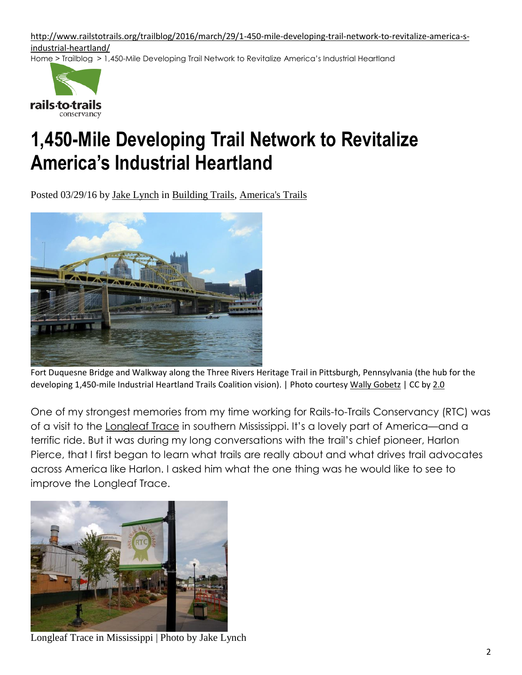[http://www.railstotrails.org/trailblog/2016/march/29/1-450-mile-developing-trail-network-to-revitalize-america-s](http://www.railstotrails.org/trailblog/2016/march/29/1-450-mile-developing-trail-network-to-revitalize-america-s-industrial-heartland/)[industrial-heartland/](http://www.railstotrails.org/trailblog/2016/march/29/1-450-mile-developing-trail-network-to-revitalize-america-s-industrial-heartland/)

[Home](http://www.railstotrails.org/) > [Trailblog](http://www.railstotrails.org/trailblog/) > 1,450-Mile Developing Trail Network to Revitalize America's Industrial Heartland



## **1,450-Mile Developing Trail Network to Revitalize America's Industrial Heartland**

Posted 03/29/16 by Jake [Lynch](http://www.railstotrails.org/trailblog/?author=Jake+Lynch) in [Building](http://www.railstotrails.org/trailblog/?category=Building+Trails) Trails, [America's](http://www.railstotrails.org/trailblog/?category=America%27s+Trails) Trails



Fort Duquesne Bridge and Walkway along the Three Rivers Heritage Trail in Pittsburgh, Pennsylvania (the hub for the developing 1,450-mile Industrial Heartland Trails Coalition vision). | Photo courtesy Wally [Gobetz](https://www.flickr.com/photos/wallyg/5944370219/sizes/l) | CC by [2.0](https://creativecommons.org/licenses/by/2.0/) 

One of my strongest memories from my time working for Rails-to-Trails Conservancy (RTC) was of a visit to the [Longleaf](http://www.traillink.com/trail/longleaf-trace.aspx?utm_source=railstotrails.org&utm_medium=link_trailblog&utm_campaign=RTCreferrals) Trace in southern Mississippi. It's a lovely part of America—and a terrific ride. But it was during my long conversations with the trail's chief pioneer, Harlon Pierce, that I first began to learn what trails are really about and what drives trail advocates across America like Harlon. I asked him what the one thing was he would like to see to improve the Longleaf Trace.



Longleaf Trace in Mississippi | Photo by Jake Lynch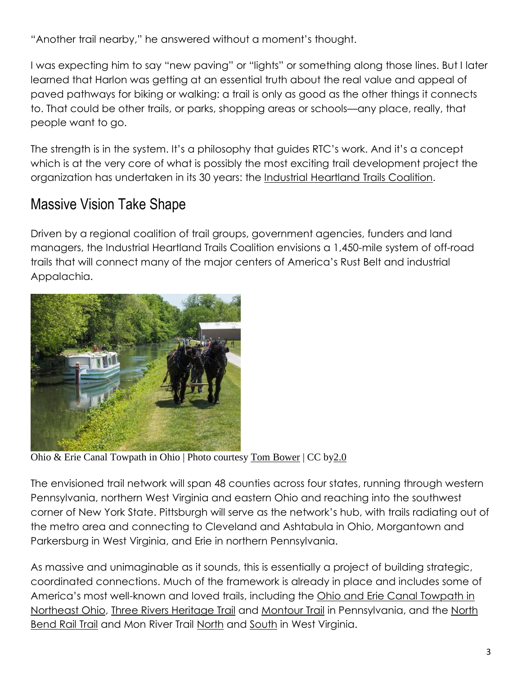"Another trail nearby," he answered without a moment's thought.

I was expecting him to say "new paving" or "lights" or something along those lines. But I later learned that Harlon was getting at an essential truth about the real value and appeal of paved pathways for biking or walking: a trail is only as good as the other things it connects to. That could be other trails, or parks, shopping areas or schools—any place, really, that people want to go.

The strength is in the system. It's a philosophy that guides RTC's work. And it's a concept which is at the very core of what is possibly the most exciting trail development project the organization has undertaken in its 30 years: the Industrial [Heartland](http://www.railstotrails.org/our-work/trail-projects/industrial-heartland-trails-coalition/) Trails Coalition.

### Massive Vision Take Shape

Driven by a regional coalition of trail groups, government agencies, funders and land managers, the Industrial Heartland Trails Coalition envisions a 1,450-mile system of off-road trails that will connect many of the major centers of America's Rust Belt and industrial Appalachia.



Ohio & Erie Canal Towpath in Ohio | Photo courtesy Tom [Bower](https://www.flickr.com/photos/zuikosan/8844989554/sizes/l) | CC b[y2.0](https://creativecommons.org/licenses/by/2.0/)

The envisioned trail network will span 48 counties across four states, running through western Pennsylvania, northern West Virginia and eastern Ohio and reaching into the southwest corner of New York State. Pittsburgh will serve as the network's hub, with trails radiating out of the metro area and connecting to Cleveland and Ashtabula in Ohio, Morgantown and Parkersburg in West Virginia, and Erie in northern Pennsylvania.

As massive and unimaginable as it sounds, this is essentially a project of building strategic, coordinated connections. Much of the framework is already in place and includes some of America's most well-known and loved trails, including the Ohio and Erie Canal [Towpath](http://www.traillink.com/trail/ohio--erie-canalway-towpath-trail.aspx?utm_source=railstotrails.org&utm_medium=link_trailblog&utm_campaign=RTCreferrals) in [Northeast](http://www.traillink.com/trail/ohio--erie-canalway-towpath-trail.aspx?utm_source=railstotrails.org&utm_medium=link_trailblog&utm_campaign=RTCreferrals) Ohio, Three Rivers [Heritage](http://www.traillink.com/trail/three-rivers-heritage-trail.aspx?utm_source=railstotrails.org&utm_medium=link_trailblog&utm_campaign=RTCreferrals) Trail and [Montour](http://www.traillink.com/trail/montour-trail.aspx?utm_source=railstotrails.org&utm_medium=link_trailblog&utm_campaign=RTCreferrals) Trail in Pennsylvania, and the [North](http://www.traillink.com/trail/north-bend-rail-trail.aspx?utm_source=railstotrails.org&utm_medium=link_trailblog&utm_campaign=RTCreferrals) [Bend](http://www.traillink.com/trail/north-bend-rail-trail.aspx?utm_source=railstotrails.org&utm_medium=link_trailblog&utm_campaign=RTCreferrals) Rail Trail and Mon River Trail [North](http://www.traillink.com/trail/mon-river-trail-north.aspx?utm_source=railstotrails.org&utm_medium=link_trailblog&utm_campaign=RTCreferrals) and [South](http://www.traillink.com/trail/mon-river-trail-south.aspx?utm_source=railstotrails.org&utm_medium=link_trailblog&utm_campaign=RTCreferrals) in West Virginia.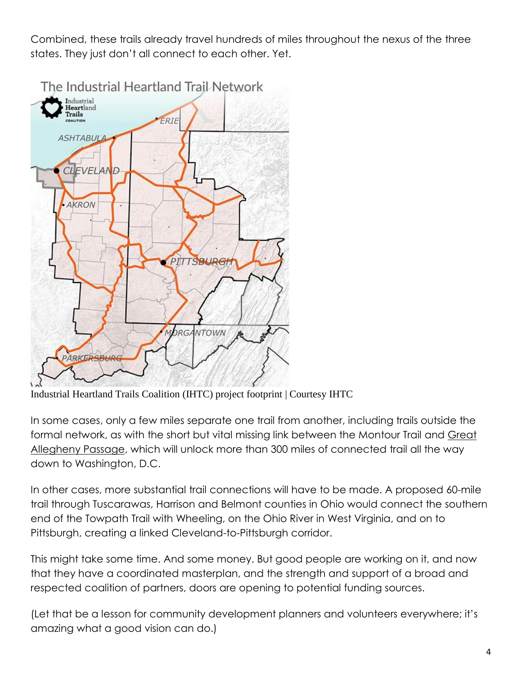Combined, these trails already travel hundreds of miles throughout the nexus of the three states. They just don't all connect to each other. Yet.



Industrial Heartland Trails Coalition (IHTC) project footprint | Courtesy IHTC

In some cases, only a few miles separate one trail from another, including trails outside the formal network, as with the short but vital missing link between the Montour Trail and [Great](http://www.traillink.com/trail/great-allegheny-passage.aspx?utm_source=railstotrails.org&utm_medium=link_trailblog&utm_campaign=RTCreferrals) [Allegheny](http://www.traillink.com/trail/great-allegheny-passage.aspx?utm_source=railstotrails.org&utm_medium=link_trailblog&utm_campaign=RTCreferrals) Passage, which will unlock more than 300 miles of connected trail all the way down to Washington, D.C.

In other cases, more substantial trail connections will have to be made. A proposed 60-mile trail through Tuscarawas, Harrison and Belmont counties in Ohio would connect the southern end of the Towpath Trail with Wheeling, on the Ohio River in West Virginia, and on to Pittsburgh, creating a linked Cleveland-to-Pittsburgh corridor.

This might take some time. And some money. But good people are working on it, and now that they have a coordinated masterplan, and the strength and support of a broad and respected coalition of partners, doors are opening to potential funding sources.

(Let that be a lesson for community development planners and volunteers everywhere; it's amazing what a good vision can do.)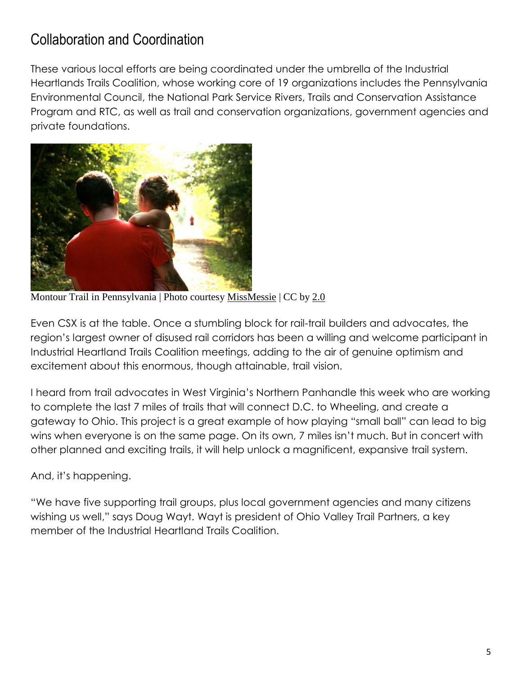### Collaboration and Coordination

These various local efforts are being coordinated under the umbrella of the Industrial Heartlands Trails Coalition, whose working core of 19 organizations includes the Pennsylvania Environmental Council, the National Park Service Rivers, Trails and Conservation Assistance Program and RTC, as well as trail and conservation organizations, government agencies and private foundations.



Montour Trail in Pennsylvania | Photo courtesy [MissMessie](https://www.flickr.com/photos/97335141@N00/4134060134/sizes/l) | CC by [2.0](https://creativecommons.org/licenses/by/2.0/)

Even CSX is at the table. Once a stumbling block for rail-trail builders and advocates, the region's largest owner of disused rail corridors has been a willing and welcome participant in Industrial Heartland Trails Coalition meetings, adding to the air of genuine optimism and excitement about this enormous, though attainable, trail vision.

I heard from trail advocates in West Virginia's Northern Panhandle this week who are working to complete the last 7 miles of trails that will connect D.C. to Wheeling, and create a gateway to Ohio. This project is a great example of how playing "small ball" can lead to big wins when everyone is on the same page. On its own, 7 miles isn't much. But in concert with other planned and exciting trails, it will help unlock a magnificent, expansive trail system.

#### And, it's happening.

"We have five supporting trail groups, plus local government agencies and many citizens wishing us well," says Doug Wayt. Wayt is president of Ohio Valley Trail Partners, a key member of the Industrial Heartland Trails Coalition.